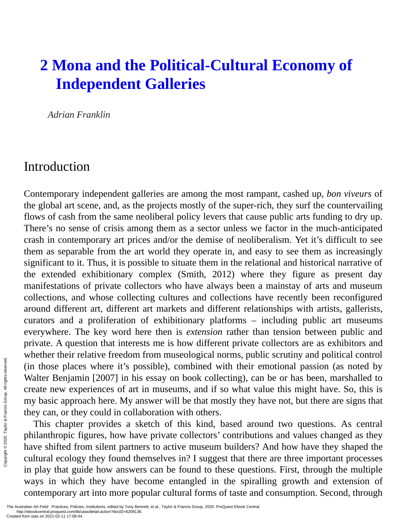# **2 Mona and the Political-Cultural Economy of Independent Galleries**

*Adrian Franklin*

#### Introduction

Contemporary independent galleries are among the most rampant, cashed up, *bon viveurs* of the global art scene, and, as the projects mostly of the super-rich, they surf the countervailing flows of cash from the same neoliberal policy levers that cause public arts funding to dry up. There's no sense of crisis among them as a sector unless we factor in the much-anticipated crash in contemporary art prices and/or the demise of neoliberalism. Yet it's difficult to see them as separable from the art world they operate in, and easy to see them as increasingly significant to it. Thus, it is possible to situate them in the relational and historical narrative of the extended exhibitionary complex (Smith, 2012) where they figure as present day manifestations of private collectors who have always been a mainstay of arts and museum collections, and whose collecting cultures and collections have recently been reconfigured around different art, different art markets and different relationships with artists, gallerists, curators and a proliferation of exhibitionary platforms – including public art museums everywhere. The key word here then is *extension* rather than tension between public and private. A question that interests me is how different private collectors are as exhibitors and whether their relative freedom from museological norms, public scrutiny and political control (in those places where it's possible), combined with their emotional passion (as noted by Walter Benjamin [2007] in his essay on book collecting), can be or has been, marshalled to create new experiences of art in museums, and if so what value this might have. So, this is my basic approach here. My answer will be that mostly they have not, but there are signs that they can, or they could in collaboration with others.

This chapter provides a sketch of this kind, based around two questions. As central philanthropic figures, how have private collectors' contributions and values changed as they have shifted from silent partners to active museum builders? And how have they shaped the cultural ecology they found themselves in? I suggest that there are three important processes in play that guide how answers can be found to these questions. First, through the multiple ways in which they have become entangled in the spiralling growth and extension of contemporary art into more popular cultural forms of taste and consumption. Second, through Examples the **Created from utas on 2021-02-11 17:08:44**.<br>
The Australian Art Field : Practices, Policies<br>
Created from utas on 2021-02-11 17:08:44.<br>
Created from utas on 2021-02-11 17:08:44.<br>
Created from utas on 2021-02-1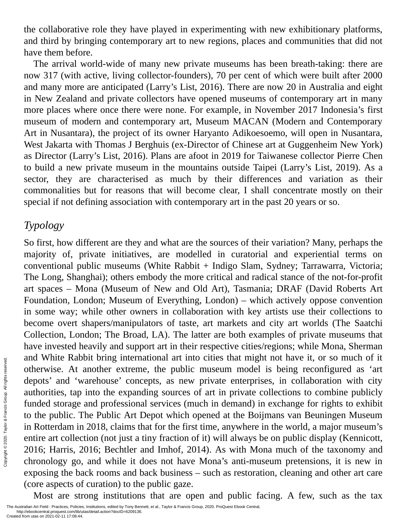the collaborative role they have played in experimenting with new exhibitionary platforms, and third by bringing contemporary art to new regions, places and communities that did not have them before.

The arrival world-wide of many new private museums has been breath-taking: there are now 317 (with active, living collector-founders), 70 per cent of which were built after 2000 and many more are anticipated (Larry's List, 2016). There are now 20 in Australia and eight in New Zealand and private collectors have opened museums of contemporary art in many more places where once there were none. For example, in November 2017 Indonesia's first museum of modern and contemporary art, Museum MACAN (Modern and Contemporary Art in Nusantara), the project of its owner Haryanto Adikoesoemo, will open in Nusantara, West Jakarta with Thomas J Berghuis (ex-Director of Chinese art at Guggenheim New York) as Director (Larry's List, 2016). Plans are afoot in 2019 for Taiwanese collector Pierre Chen to build a new private museum in the mountains outside Taipei (Larry's List, 2019). As a sector, they are characterised as much by their differences and variation as their commonalities but for reasons that will become clear, I shall concentrate mostly on their special if not defining association with contemporary art in the past 20 years or so.

#### *Typology*

So first, how different are they and what are the sources of their variation? Many, perhaps the majority of, private initiatives, are modelled in curatorial and experiential terms on conventional public museums (White Rabbit + Indigo Slam, Sydney; Tarrawarra, Victoria; The Long, Shanghai); others embody the more critical and radical stance of the not-for-profit art spaces – Mona (Museum of New and Old Art), Tasmania; DRAF (David Roberts Art Foundation, London; Museum of Everything, London) – which actively oppose convention in some way; while other owners in collaboration with key artists use their collections to become overt shapers/manipulators of taste, art markets and city art worlds (The Saatchi Collection, London; The Broad, LA). The latter are both examples of private museums that have invested heavily and support art in their respective cities/regions; while Mona, Sherman and White Rabbit bring international art into cities that might not have it, or so much of it otherwise. At another extreme, the public museum model is being reconfigured as 'art depots' and 'warehouse' concepts, as new private enterprises, in collaboration with city authorities, tap into the expanding sources of art in private collections to combine publicly funded storage and professional services (much in demand) in exchange for rights to exhibit to the public. The Public Art Depot which opened at the Boijmans van Beuningen Museum in Rotterdam in 2018, claims that for the first time, anywhere in the world, a major museum's entire art collection (not just a tiny fraction of it) will always be on public display (Kennicott, 2016; Harris, 2016; Bechtler and Imhof, 2014). As with Mona much of the taxonomy and chronology go, and while it does not have Mona's anti-museum pretensions, it is new in exposing the back rooms and back business – such as restoration, cleaning and other art care (core aspects of curation) to the public gaze. Experimentation of Francis Created from utas on 2021-02-11 17:08:44.<br>
Created from utas on 2021-02-11 17:08:44.<br>
Created from utas on 2021-02-11 17:08:44.<br>
Created from utas on 2021-02-11 17:08:44.<br>
Created from utas on 20

Most are strong institutions that are open and public facing. A few, such as the tax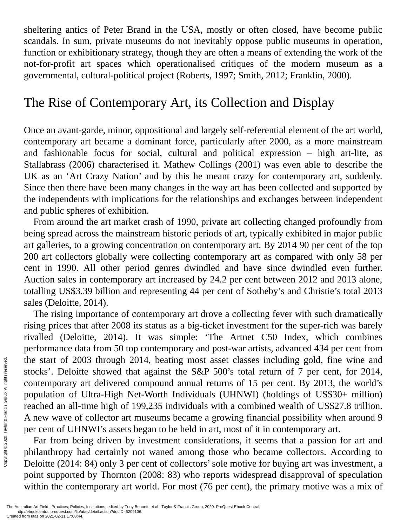sheltering antics of Peter Brand in the USA, mostly or often closed, have become public scandals. In sum, private museums do not inevitably oppose public museums in operation, function or exhibitionary strategy, though they are often a means of extending the work of the not-for-profit art spaces which operationalised critiques of the modern museum as a governmental, cultural-political project (Roberts, 1997; Smith, 2012; Franklin, 2000).

#### The Rise of Contemporary Art, its Collection and Display

Once an avant-garde, minor, oppositional and largely self-referential element of the art world, contemporary art became a dominant force, particularly after 2000, as a more mainstream and fashionable focus for social, cultural and political expression – high art-lite, as Stallabrass (2006) characterised it. Mathew Collings (2001) was even able to describe the UK as an 'Art Crazy Nation' and by this he meant crazy for contemporary art, suddenly. Since then there have been many changes in the way art has been collected and supported by the independents with implications for the relationships and exchanges between independent and public spheres of exhibition.

From around the art market crash of 1990, private art collecting changed profoundly from being spread across the mainstream historic periods of art, typically exhibited in major public art galleries, to a growing concentration on contemporary art. By 2014 90 per cent of the top 200 art collectors globally were collecting contemporary art as compared with only 58 per cent in 1990. All other period genres dwindled and have since dwindled even further. Auction sales in contemporary art increased by 24.2 per cent between 2012 and 2013 alone, totalling US\$3.39 billion and representing 44 per cent of Sotheby's and Christie's total 2013 sales (Deloitte, 2014).

The rising importance of contemporary art drove a collecting fever with such dramatically rising prices that after 2008 its status as a big-ticket investment for the super-rich was barely rivalled (Deloitte, 2014). It was simple: 'The Artnet C50 Index, which combines performance data from 50 top contemporary and post-war artists, advanced 434 per cent from the start of 2003 through 2014, beating most asset classes including gold, fine wine and stocks'. Deloitte showed that against the S&P 500's total return of 7 per cent, for 2014, contemporary art delivered compound annual returns of 15 per cent. By 2013, the world's population of Ultra-High Net-Worth Individuals (UHNWI) (holdings of US\$30+ million) reached an all-time high of 199,235 individuals with a combined wealth of US\$27.8 trillion. A new wave of collector art museums became a growing financial possibility when around 9 per cent of UHNWI's assets began to be held in art, most of it in contemporary art. The Australian Art Field : Practices, Policies<br>Created from utas on 2021-02-11 17:08:44.<br>Created from utas on 2021-02-11 17:08:44.<br>Created from utas on 2021-02-11 17:08:44.<br>Created from utas on 2021-02-11 17:08:44.<br>Create

Far from being driven by investment considerations, it seems that a passion for art and philanthropy had certainly not waned among those who became collectors. According to Deloitte (2014: 84) only 3 per cent of collectors'sole motive for buying art was investment, a point supported by Thornton (2008: 83) who reports widespread disapproval of speculation within the contemporary art world. For most (76 per cent), the primary motive was a mix of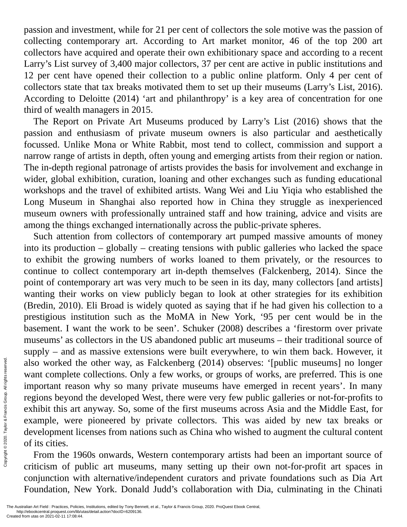passion and investment, while for 21 per cent of collectors the sole motive was the passion of collecting contemporary art. According to Art market monitor, 46 of the top 200 art collectors have acquired and operate their own exhibitionary space and according to a recent Larry's List survey of 3,400 major collectors, 37 per cent are active in public institutions and 12 per cent have opened their collection to a public online platform. Only 4 per cent of collectors state that tax breaks motivated them to set up their museums (Larry's List, 2016). According to Deloitte (2014) 'art and philanthropy' is a key area of concentration for one third of wealth managers in 2015.

The Report on Private Art Museums produced by Larry's List (2016) shows that the passion and enthusiasm of private museum owners is also particular and aesthetically focussed. Unlike Mona or White Rabbit, most tend to collect, commission and support a narrow range of artists in depth, often young and emerging artists from their region or nation. The in-depth regional patronage of artists provides the basis for involvement and exchange in wider, global exhibition, curation, loaning and other exchanges such as funding educational workshops and the travel of exhibited artists. Wang Wei and Liu Yiqia who established the Long Museum in Shanghai also reported how in China they struggle as inexperienced museum owners with professionally untrained staff and how training, advice and visits are among the things exchanged internationally across the public-private spheres.

Such attention from collectors of contemporary art pumped massive amounts of money into its production – globally – creating tensions with public galleries who lacked the space to exhibit the growing numbers of works loaned to them privately, or the resources to continue to collect contemporary art in-depth themselves (Falckenberg, 2014). Since the point of contemporary art was very much to be seen in its day, many collectors [and artists] wanting their works on view publicly began to look at other strategies for its exhibition (Bredin, 2010). Eli Broad is widely quoted as saying that if he had given his collection to a prestigious institution such as the MoMA in New York, '95 per cent would be in the basement. I want the work to be seen'. Schuker (2008) describes a 'firestorm over private museums' as collectors in the US abandoned public art museums – their traditional source of supply – and as massive extensions were built everywhere, to win them back. However, it also worked the other way, as Falckenberg (2014) observes: '[public museums] no longer want complete collections. Only a few works, or groups of works, are preferred. This is one important reason why so many private museums have emerged in recent years'. In many regions beyond the developed West, there were very few public galleries or not-for-profits to exhibit this art anyway. So, some of the first museums across Asia and the Middle East, for example, were pioneered by private collectors. This was aided by new tax breaks or development licenses from nations such as China who wished to augment the cultural content of its cities. Example the movement of the state of the state of the dustralian Art Field : Practices, Policies Created from utas on 2021-02-11 17:08:44. Created from utas on 2021-02-11 17:08:44.

From the 1960s onwards, Western contemporary artists had been an important source of criticism of public art museums, many setting up their own not-for-profit art spaces in conjunction with alternative/independent curators and private foundations such as Dia Art Foundation, New York. Donald Judd's collaboration with Dia, culminating in the Chinati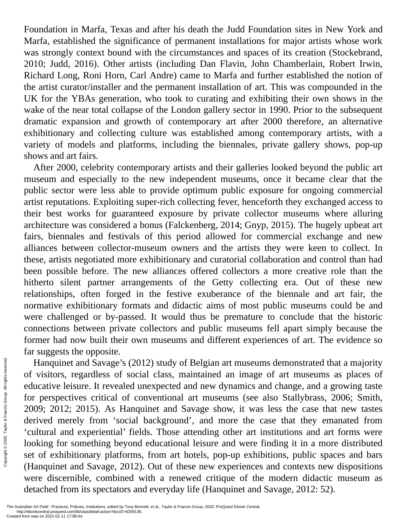Foundation in Marfa, Texas and after his death the Judd Foundation sites in New York and Marfa, established the significance of permanent installations for major artists whose work was strongly context bound with the circumstances and spaces of its creation (Stockebrand, 2010; Judd, 2016). Other artists (including Dan Flavin, John Chamberlain, Robert Irwin, Richard Long, Roni Horn, Carl Andre) came to Marfa and further established the notion of the artist curator/installer and the permanent installation of art. This was compounded in the UK for the YBAs generation, who took to curating and exhibiting their own shows in the wake of the near total collapse of the London gallery sector in 1990. Prior to the subsequent dramatic expansion and growth of contemporary art after 2000 therefore, an alternative exhibitionary and collecting culture was established among contemporary artists, with a variety of models and platforms, including the biennales, private gallery shows, pop-up shows and art fairs.

After 2000, celebrity contemporary artists and their galleries looked beyond the public art museum and especially to the new independent museums, once it became clear that the public sector were less able to provide optimum public exposure for ongoing commercial artist reputations. Exploiting super-rich collecting fever, henceforth they exchanged access to their best works for guaranteed exposure by private collector museums where alluring architecture was considered a bonus (Falckenberg, 2014; Gnyp, 2015). The hugely upbeat art fairs, biennales and festivals of this period allowed for commercial exchange and new alliances between collector-museum owners and the artists they were keen to collect. In these, artists negotiated more exhibitionary and curatorial collaboration and control than had been possible before. The new alliances offered collectors a more creative role than the hitherto silent partner arrangements of the Getty collecting era. Out of these new relationships, often forged in the festive exuberance of the biennale and art fair, the normative exhibitionary formats and didactic aims of most public museums could be and were challenged or by-passed. It would thus be premature to conclude that the historic connections between private collectors and public museums fell apart simply because the former had now built their own museums and different experiences of art. The evidence so far suggests the opposite.

Hanquinet and Savage's (2012) study of Belgian art museums demonstrated that a majority of visitors, regardless of social class, maintained an image of art museums as places of educative leisure. It revealed unexpected and new dynamics and change, and a growing taste for perspectives critical of conventional art museums (see also Stallybrass, 2006; Smith, 2009; 2012; 2015). As Hanquinet and Savage show, it was less the case that new tastes derived merely from 'social background', and more the case that they emanated from 'cultural and experiential' fields. Those attending other art institutions and art forms were looking for something beyond educational leisure and were finding it in a more distributed set of exhibitionary platforms, from art hotels, pop-up exhibitions, public spaces and bars (Hanquinet and Savage, 2012). Out of these new experiences and contexts new dispositions were discernible, combined with a renewed critique of the modern didactic museum as detached from its spectators and everyday life (Hanquinet and Savage, 2012: 52). Example the approximation of visitors, regency and the distance of  $2009$ ; 2012; 20<br>derived merely cultural and exploring for some set of exhibition<br> $\frac{1}{20}$  is the set of exhibition (Hanquinet and were discernible deta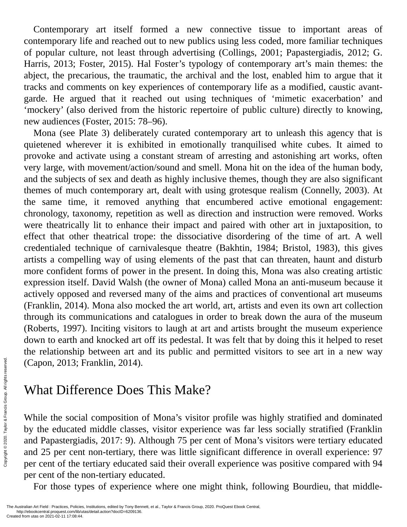Contemporary art itself formed a new connective tissue to important areas of contemporary life and reached out to new publics using less coded, more familiar techniques of popular culture, not least through advertising (Collings, 2001; Papastergiadis, 2012; G. Harris, 2013; Foster, 2015). Hal Foster's typology of contemporary art's main themes: the abject, the precarious, the traumatic, the archival and the lost, enabled him to argue that it tracks and comments on key experiences of contemporary life as a modified, caustic avantgarde. He argued that it reached out using techniques of 'mimetic exacerbation' and 'mockery' (also derived from the historic repertoire of public culture) directly to knowing, new audiences (Foster, 2015: 78–96).

Mona (see Plate 3) deliberately curated contemporary art to unleash this agency that is quietened wherever it is exhibited in emotionally tranquilised white cubes. It aimed to provoke and activate using a constant stream of arresting and astonishing art works, often very large, with movement/action/sound and smell. Mona hit on the idea of the human body, and the subjects of sex and death as highly inclusive themes, though they are also significant themes of much contemporary art, dealt with using grotesque realism (Connelly, 2003). At the same time, it removed anything that encumbered active emotional engagement: chronology, taxonomy, repetition as well as direction and instruction were removed. Works were theatrically lit to enhance their impact and paired with other art in juxtaposition, to effect that other theatrical trope: the dissociative disordering of the time of art. A well credentialed technique of carnivalesque theatre (Bakhtin, 1984; Bristol, 1983), this gives artists a compelling way of using elements of the past that can threaten, haunt and disturb more confident forms of power in the present. In doing this, Mona was also creating artistic expression itself. David Walsh (the owner of Mona) called Mona an anti-museum because it actively opposed and reversed many of the aims and practices of conventional art museums (Franklin, 2014). Mona also mocked the art world, art, artists and even its own art collection through its communications and catalogues in order to break down the aura of the museum (Roberts, 1997). Inciting visitors to laugh at art and artists brought the museum experience down to earth and knocked art off its pedestal. It was felt that by doing this it helped to reset the relationship between art and its public and permitted visitors to see art in a new way (Capon, 2013; Franklin, 2014).

# What Difference Does This Make?

While the social composition of Mona's visitor profile was highly stratified and dominated by the educated middle classes, visitor experience was far less socially stratified (Franklin and Papastergiadis, 2017: 9). Although 75 per cent of Mona's visitors were tertiary educated and 25 per cent non-tertiary, there was little significant difference in overall experience: 97 per cent of the tertiary educated said their overall experience was positive compared with 94 per cent of the non-tertiary educated. Example **What Diffe**<br>
Example **While the social**<br>
Example **While the social**<br>
Example **and Papastergia**<br>
and 25 per cent<br>
per cent of the per cent<br>
per cent of the I<br>
For those typers reserved. For those typer<br>
The Austral

For those types of experience where one might think, following Bourdieu, that middle-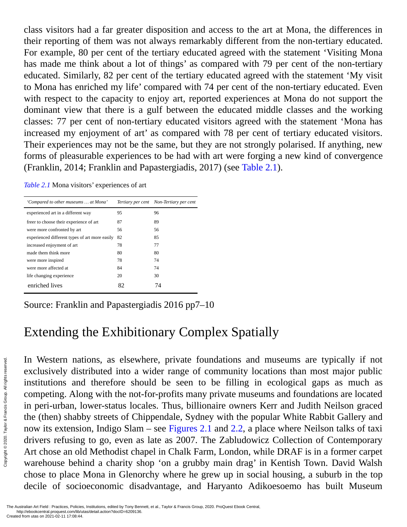class visitors had a far greater disposition and access to the art at Mona, the differences in their reporting of them was not always remarkably different from the non-tertiary educated. For example, 80 per cent of the tertiary educated agreed with the statement 'Visiting Mona has made me think about a lot of things' as compared with 79 per cent of the non-tertiary educated. Similarly, 82 per cent of the tertiary educated agreed with the statement 'My visit to Mona has enriched my life' compared with 74 per cent of the non-tertiary educated. Even with respect to the capacity to enjoy art, reported experiences at Mona do not support the dominant view that there is a gulf between the educated middle classes and the working classes: 77 per cent of non-tertiary educated visitors agreed with the statement 'Mona has increased my enjoyment of art' as compared with 78 per cent of tertiary educated visitors. Their experiences may not be the same, but they are not strongly polarised. If anything, new forms of pleasurable experiences to be had with art were forging a new kind of convergence (Franklin, 2014; Franklin and Papastergiadis, 2017) (see [Table](#page-6-0) 2.1).

*Table 2.1* Mona visitors' experiences of art

<span id="page-6-0"></span>

| 'Compared to other museums  at Mona'           |    | Tertiary per cent Non-Tertiary per cent |
|------------------------------------------------|----|-----------------------------------------|
| experienced art in a different way             | 95 | 96                                      |
| freer to choose their experience of art        | 87 | 89                                      |
| were more confronted by art                    | 56 | 56                                      |
| experienced different types of art more easily | 82 | 85                                      |
| increased enjoyment of art                     | 78 | 77                                      |
| made them think more                           | 80 | 80                                      |
| were more inspired                             | 78 | 74                                      |
| were more affected at                          | 84 | 74                                      |
| life changing experience                       | 20 | 30                                      |
| enriched lives                                 | 82 | 74                                      |

Source: Franklin and Papastergiadis 2016 pp7–10

# Extending the Exhibitionary Complex Spatially

In Western nations, as elsewhere, private foundations and museums are typically if not exclusively distributed into a wider range of community locations than most major public institutions and therefore should be seen to be filling in ecological gaps as much as competing. Along with the not-for-profits many private museums and foundations are located in peri-urban, lower-status locales. Thus, billionaire owners Kerr and Judith Neilson graced the (then) shabby streets of Chippendale, Sydney with the popular White Rabbit Gallery and now its extension, Indigo Slam – see [Figures](#page-7-0) 2.1 and [2.2](#page-8-0), a place where Neilson talks of taxi drivers refusing to go, even as late as 2007. The Zabludowicz Collection of Contemporary Art chose an old Methodist chapel in Chalk Farm, London, while DRAF is in a former carpet warehouse behind a charity shop 'on a grubby main drag' in Kentish Town. David Walsh chose to place Mona in Glenorchy where he grew up in social housing, a suburb in the top decile of socioeconomic disadvantage, and Haryanto Adikoesoemo has built Museum Exclusively dist<br>
Exclusively dist<br>
institutions and<br>
competing. Alo<br>
in peri-urban, letter (then) shabl<br>
now its extensic<br>
mow its extensing<br>
drivers refusing<br>
drivers refusing<br>
Art chose an ole<br>
warehouse behi<br>
chose to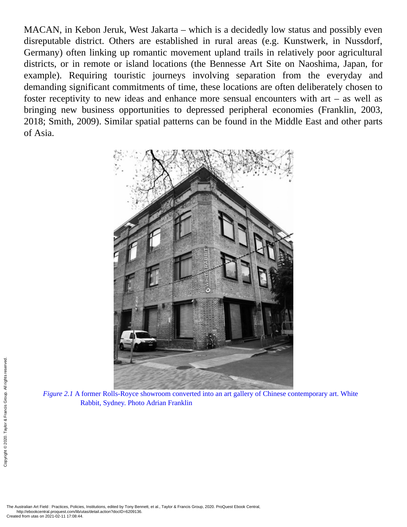MACAN, in Kebon Jeruk, West Jakarta – which is a decidedly low status and possibly even disreputable district. Others are established in rural areas (e.g. Kunstwerk, in Nussdorf, Germany) often linking up romantic movement upland trails in relatively poor agricultural districts, or in remote or island locations (the Bennesse Art Site on Naoshima, Japan, for example). Requiring touristic journeys involving separation from the everyday and demanding significant commitments of time, these locations are often deliberately chosen to foster receptivity to new ideas and enhance more sensual encounters with art  $-$  as well as bringing new business opportunities to depressed peripheral economies (Franklin, 2003, 2018; Smith, 2009). Similar spatial patterns can be found in the Middle East and other parts of Asia.

<span id="page-7-0"></span>

*Figure 2.1* A former Rolls-Royce showroom converted into an art gallery of Chinese contemporary art. White Rabbit, Sydney. Photo Adrian Franklin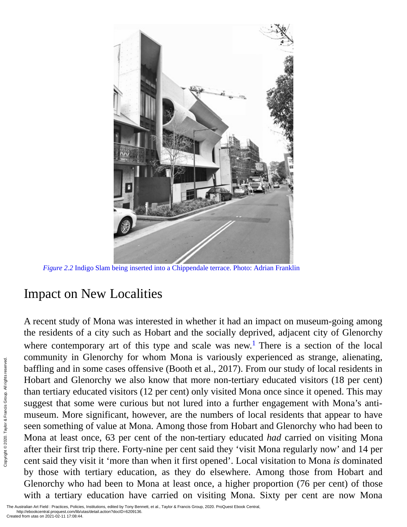

*Figure 2.2* Indigo Slam being inserted into a Chippendale terrace. Photo: Adrian Franklin

## <span id="page-8-0"></span>Impact on New Localities

A recent study of Mona was interested in whether it had an impact on museum-going among the residents of a city such as Hobart and the socially deprived, adjacent city of Glenorchy where contemporary art of this type and scale was new.<sup>[1](#page-12-0)</sup> There is a section of the local community in Glenorchy for whom Mona is variously experienced as strange, alienating, baffling and in some cases offensive (Booth et al., 2017). From our study of local residents in Hobart and Glenorchy we also know that more non-tertiary educated visitors (18 per cent) than tertiary educated visitors (12 per cent) only visited Mona once since it opened. This may suggest that some were curious but not lured into a further engagement with Mona's antimuseum. More significant, however, are the numbers of local residents that appear to have seen something of value at Mona. Among those from Hobart and Glenorchy who had been to Mona at least once, 63 per cent of the non-tertiary educated *had* carried on visiting Mona after their first trip there. Forty-nine per cent said they 'visit Mona regularly now' and 14 per cent said they visit it 'more than when it first opened'. Local visitation to Mona *is* dominated by those with tertiary education, as they do elsewhere. Among those from Hobart and Glenorchy who had been to Mona at least once, a higher proportion (76 per cent) of those with a tertiary education have carried on visiting Mona. Sixty per cent are now Mona Experimentation at least<br>
Experimentation of Created from utas on 2021-02-11 17:08:44.<br>
Created from utas on 2021-02-11 17:08:44.<br>
Created from utas on 2021-02-11 17:08:44.<br>
Created from utas on 2021-02-11 17:08:44.<br>
Creat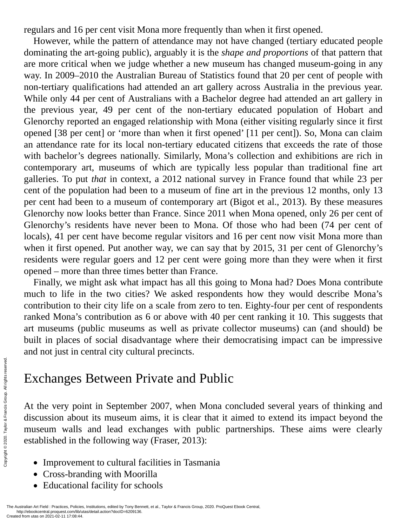regulars and 16 per cent visit Mona more frequently than when it first opened.

However, while the pattern of attendance may not have changed (tertiary educated people dominating the art-going public), arguably it is the *shape and proportions* of that pattern that are more critical when we judge whether a new museum has changed museum-going in any way. In 2009–2010 the Australian Bureau of Statistics found that 20 per cent of people with non-tertiary qualifications had attended an art gallery across Australia in the previous year. While only 44 per cent of Australians with a Bachelor degree had attended an art gallery in the previous year, 49 per cent of the non-tertiary educated population of Hobart and Glenorchy reported an engaged relationship with Mona (either visiting regularly since it first opened [38 per cent] or 'more than when it first opened' [11 per cent]). So, Mona can claim an attendance rate for its local non-tertiary educated citizens that exceeds the rate of those with bachelor's degrees nationally. Similarly, Mona's collection and exhibitions are rich in contemporary art, museums of which are typically less popular than traditional fine art galleries. To put *that* in context, a 2012 national survey in France found that while 23 per cent of the population had been to a museum of fine art in the previous 12 months, only 13 per cent had been to a museum of contemporary art (Bigot et al., 2013). By these measures Glenorchy now looks better than France. Since 2011 when Mona opened, only 26 per cent of Glenorchy's residents have never been to Mona. Of those who had been (74 per cent of locals), 41 per cent have become regular visitors and 16 per cent now visit Mona more than when it first opened. Put another way, we can say that by 2015, 31 per cent of Glenorchy's residents were regular goers and 12 per cent were going more than they were when it first opened – more than three times better than France.

Finally, we might ask what impact has all this going to Mona had? Does Mona contribute much to life in the two cities? We asked respondents how they would describe Mona's contribution to their city life on a scale from zero to ten. Eighty-four per cent of respondents ranked Mona's contribution as 6 or above with 40 per cent ranking it 10. This suggests that art museums (public museums as well as private collector museums) can (and should) be built in places of social disadvantage where their democratising impact can be impressive and not just in central city cultural precincts.

# Exchanges Between Private and Public

At the very point in September 2007, when Mona concluded several years of thinking and discussion about its museum aims, it is clear that it aimed to extend its impact beyond the museum walls and lead exchanges with public partnerships. These aims were clearly established in the following way (Fraser, 2013): Exchanges<br>  $\frac{1}{2}$ <br>  $\frac{1}{2}$ <br>  $\frac{1}{2}$ <br>  $\frac{1}{2}$ <br>  $\frac{1}{2}$ <br>  $\frac{1}{2}$ <br>  $\frac{1}{2}$ <br>  $\frac{1}{2}$ <br>  $\frac{1}{2}$ <br>  $\frac{1}{2}$ <br>  $\frac{1}{2}$ <br>  $\frac{1}{2}$ <br>  $\frac{1}{2}$ <br>  $\frac{1}{2}$ <br>  $\frac{1}{2}$ <br>  $\frac{1}{2}$ <br>  $\frac{1}{2}$ <br>  $\frac{1}{2}$ <br>  $\frac{1}{2}$ <br>

- Improvement to cultural facilities in Tasmania
- Cross-branding with Moorilla
- Educational facility for schools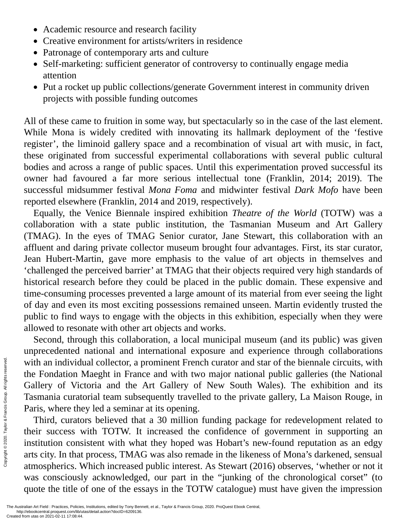- Academic resource and research facility
- Creative environment for artists/writers in residence
- Patronage of contemporary arts and culture
- Self-marketing: sufficient generator of controversy to continually engage media attention
- Put a rocket up public collections/generate Government interest in community driven projects with possible funding outcomes

All of these came to fruition in some way, but spectacularly so in the case of the last element. While Mona is widely credited with innovating its hallmark deployment of the 'festive register', the liminoid gallery space and a recombination of visual art with music, in fact, these originated from successful experimental collaborations with several public cultural bodies and across a range of public spaces. Until this experimentation proved successful its owner had favoured a far more serious intellectual tone (Franklin, 2014; 2019). The successful midsummer festival *Mona Foma* and midwinter festival *Dark Mofo* have been reported elsewhere (Franklin, 2014 and 2019, respectively).

Equally, the Venice Biennale inspired exhibition *Theatre of the World* (TOTW) was a collaboration with a state public institution, the Tasmanian Museum and Art Gallery (TMAG). In the eyes of TMAG Senior curator, Jane Stewart, this collaboration with an affluent and daring private collector museum brought four advantages. First, its star curator, Jean Hubert-Martin, gave more emphasis to the value of art objects in themselves and 'challenged the perceived barrier' at TMAG that their objects required very high standards of historical research before they could be placed in the public domain. These expensive and time-consuming processes prevented a large amount of its material from ever seeing the light of day and even its most exciting possessions remained unseen. Martin evidently trusted the public to find ways to engage with the objects in this exhibition, especially when they were allowed to resonate with other art objects and works.

Second, through this collaboration, a local municipal museum (and its public) was given unprecedented national and international exposure and experience through collaborations with an individual collector, a prominent French curator and star of the biennale circuits, with the Fondation Maeght in France and with two major national public galleries (the National Gallery of Victoria and the Art Gallery of New South Wales). The exhibition and its Tasmania curatorial team subsequently travelled to the private gallery, La Maison Rouge, in Paris, where they led a seminar at its opening.

Third, curators believed that a 30 million funding package for redevelopment related to their success with TOTW. It increased the confidence of government in supporting an institution consistent with what they hoped was Hobart's new-found reputation as an edgy arts city. In that process, TMAG was also remade in the likeness of Mona's darkened, sensual atmospherics. Which increased public interest. As Stewart (2016) observes, 'whether or not it was consciously acknowledged, our part in the "junking of the chronological corset" (to quote the title of one of the essays in the TOTW catalogue) must have given the impression With an individual<br>
the Fondation I<br>
Gallery of Vice<br>
Tasmania curate<br>
Paris, where the<br>
Third, curate<br>
their success v<br>
institution cons<br>
arts city. In that<br>
atmospherics. Was consciousl<br>
quote the title c<br>
The Australia

The Australian Art Field : Practices, Policies, Institutions, edited by Tony Bennett, et al., Taylor & Francis Group, 2020. ProQuest Ebook Central, http://ebookcentral.proquest.com/lib/utas/detail.action?docID=6209136.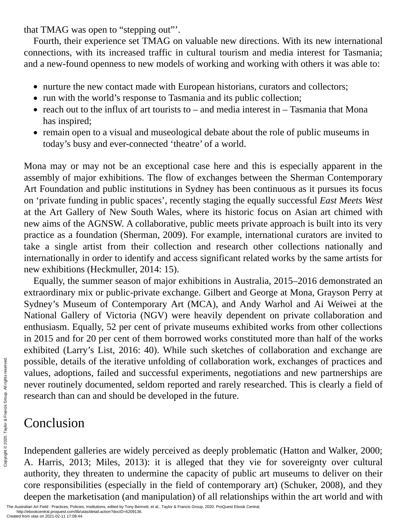that TMAG was open to "stepping out"'.

Fourth, their experience set TMAG on valuable new directions. With its new international connections, with its increased traffic in cultural tourism and media interest for Tasmania; and a new-found openness to new models of working and working with others it was able to:

- nurture the new contact made with European historians, curators and collectors;
- run with the world's response to Tasmania and its public collection;
- reach out to the influx of art tourists to  $-$  and media interest in  $-$  Tasmania that Mona has inspired;
- remain open to a visual and museological debate about the role of public museums in today's busy and ever-connected 'theatre' of a world.

Mona may or may not be an exceptional case here and this is especially apparent in the assembly of major exhibitions. The flow of exchanges between the Sherman Contemporary Art Foundation and public institutions in Sydney has been continuous as it pursues its focus on 'private funding in public spaces', recently staging the equally successful *East Meets West* at the Art Gallery of New South Wales, where its historic focus on Asian art chimed with new aims of the AGNSW. A collaborative, public meets private approach is built into its very practice as a foundation (Sherman, 2009). For example, international curators are invited to take a single artist from their collection and research other collections nationally and internationally in order to identify and access significant related works by the same artists for new exhibitions (Heckmuller, 2014: 15).

Equally, the summer season of major exhibitions in Australia, 2015–2016 demonstrated an extraordinary mix or public-private exchange. Gilbert and George at Mona, Grayson Perry at Sydney's Museum of Contemporary Art (MCA), and Andy Warhol and Ai Weiwei at the National Gallery of Victoria (NGV) were heavily dependent on private collaboration and enthusiasm. Equally, 52 per cent of private museums exhibited works from other collections in 2015 and for 20 per cent of them borrowed works constituted more than half of the works exhibited (Larry's List, 2016: 40). While such sketches of collaboration and exchange are possible, details of the iterative unfolding of collaboration work, exchanges of practices and values, adoptions, failed and successful experiments, negotiations and new partnerships are never routinely documented, seldom reported and rarely researched. This is clearly a field of research than can and should be developed in the future.

## Conclusion

Independent galleries are widely perceived as deeply problematic (Hatton and Walker, 2000; A. Harris, 2013; Miles, 2013): it is alleged that they vie for sovereignty over cultural authority, they threaten to undermine the capacity of public art museums to deliver on their core responsibilities (especially in the field of contemporary art) (Schuker, 2008), and they deepen the marketisation (and manipulation) of all relationships within the art world and with Francisco Created from utas on 2021-02-11 17:08:44. Created from utas on 2021-02-11 17:08:44. Created from utas on 2021-02-11 17:08:44.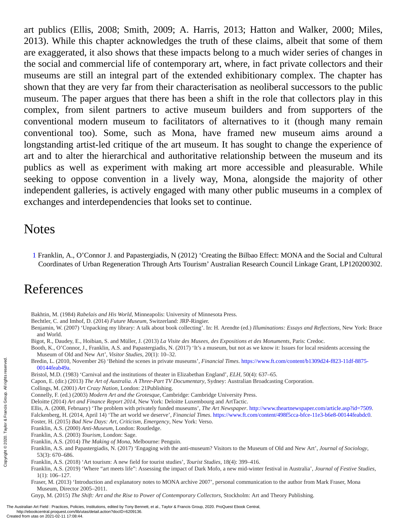art publics (Ellis, 2008; Smith, 2009; A. Harris, 2013; Hatton and Walker, 2000; Miles, 2013). While this chapter acknowledges the truth of these claims, albeit that some of them are exaggerated, it also shows that these impacts belong to a much wider series of changes in the social and commercial life of contemporary art, where, in fact private collectors and their museums are still an integral part of the extended exhibitionary complex. The chapter has shown that they are very far from their characterisation as neoliberal successors to the public museum. The paper argues that there has been a shift in the role that collectors play in this complex, from silent partners to active museum builders and from supporters of the conventional modern museum to facilitators of alternatives to it (though many remain conventional too). Some, such as Mona, have framed new museum aims around a longstanding artist-led critique of the art museum. It has sought to change the experience of art and to alter the hierarchical and authoritative relationship between the museum and its publics as well as experiment with making art more accessible and pleasurable. While seeking to oppose convention in a lively way, Mona, alongside the majority of other independent galleries, is actively engaged with many other public museums in a complex of exchanges and interdependencies that looks set to continue.

#### **Notes**

<span id="page-12-0"></span>1 Franklin, A., O'Connor J. and Papastergiadis, N (2012) 'Creating the Bilbao Effect: MONA and the Social and Cultural Coordinates of Urban Regeneration Through Arts Tourism' Australian Research Council Linkage Grant, LP120200302.

#### References

- Bakhtin, M. (1984) *Rabelais and His World*, Minneapolis: University of Minnesota Press.
- Bechtler, C. and Imhof, D. (2014) *Future Museum*, Switzerland: JRP-Ringier.
- Benjamin, W. (2007) 'Unpacking my library: A talk about book collecting'. In: H. Arendte (ed.) *Illuminations: Essays and Reflections*, New York: Brace and World.
- Bigot, R., Daudey, E., Hoibian, S. and Müller, J. (2013) *La Visite des Musees, des Expositions et des Monuments*, Paris: Credoc.
- Booth, K., O'Connor, J., Franklin, A.S. and Papastergiadis, N. (2017) 'It's a museum, but not as we know it: Issues for local residents accessing the Museum of Old and New Art', *Visitor Studies*, 20(1): 10–32.
- Bredin, L. (2010, November 26) 'Behind the scenes in private museums', *Financial Times*. [https://www.ft.com/content/b1309d24-f823-11df-8875-](https://www.ft.com) 00144feab49a.
- Bristol, M.D. (1983) 'Carnival and the institutions of theater in Elizabethan England', *ELH*, 50(4): 637–65.
- Capon, E. (dir.) (2013) *The Art of Australia. A Three-Part TV Documentary*, Sydney: Australian Broadcasting Corporation.
- Collings, M. (2001) *Art Crazy Nation*, London: 21Publishing.
- Connelly, F. (ed.) (2003) *Modern Art and the Grotesque*, Cambridge: Cambridge University Press.
- Deloitte (2014) *Art and Finance Report 2014*, New York: Deloitte Luxembourg and ArtTactic.
- Ellis, A. (2008, February) 'The problem with privately funded museums', *The Art Newspaper*. [http://www.theartnewspaper.com/article.asp?id=7509](http://www.theartnewspaper.com). Falckenberg, H. (2014, April 14) 'The art world we deserve', *Financial Times*. [https://www.ft.com/content/498f5cca-bfce-11e3-b6e8-00144feabdc0](https://www.ft.com).
- Foster, H. (2015) *Bad New Days: Art, Criticism, Emergency*, New York: Verso.
- Franklin, A.S. (2000) *Anti-Museum*, London: Routledge.
- Franklin, A.S. (2003) *Tourism*, London: Sage.
- Franklin, A.S. (2014) *The Making of Mona*, Melbourne: Penguin.
- Franklin, A.S. and Papastergiadis, N. (2017) 'Engaging with the anti-museum? Visitors to the Museum of Old and New Art', *Journal of Sociology*, 53(3): 670–686.
- Franklin, A.S. (2018) 'Art tourism: A new field for tourist studies', *Tourist Studies*, 18(4): 399–416.
- Franklin, A.S. (2019) 'Where "art meets life": Assessing the impact of Dark Mofo, a new mid-winter festival in Australia', *Journal of Festive Studies*, 1(1): 106–127.
- Fraser, M. (2013) 'Introduction and explanatory notes to MONA archive 2007', personal communication to the author from Mark Fraser, Mona Museum, Director 2005–2011.
- Gnyp, M. (2015) *The Shift: Art and the Rise to Power of Contemporary Collectors*, Stockholm: Art and Theory Publishing.

The Australian Art Field : Practices, Policies, Institutions, edited by Tony Bennett, et al., Taylor & Francis Group, 2020. ProQuest Ebook Central, http://ebookcentral.proquest.com/lib/utas/detail.action?docID=6209136. Bredin, L. (2010, Nove<br>
00144feab49a.<br>
Bristol, M.D. (1983) 'C<br>
Capon, E. (dir.) (2013)<br>
Collings, M. (2001) Ar<br>
Connelly, F. (ed.) (2000<br>
Deloitte (2014) Art anne<br>
Ellis, A. (2008, Februa<br>
Falckenberg, H. (2014)<br>
Falcken